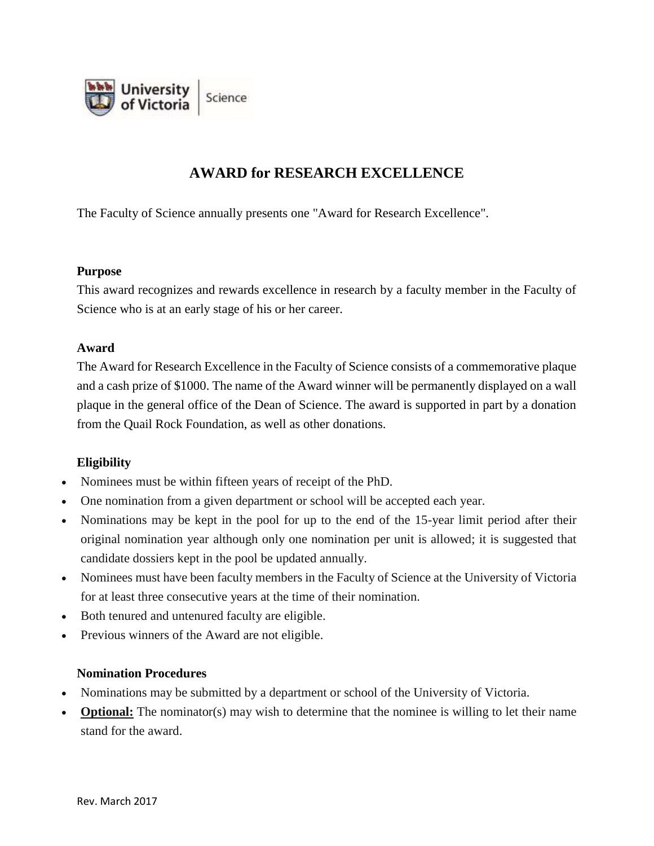

# **AWARD for RESEARCH EXCELLENCE**

The Faculty of Science annually presents one "Award for Research Excellence".

#### **Purpose**

This award recognizes and rewards excellence in research by a faculty member in the Faculty of Science who is at an early stage of his or her career.

### **Award**

The Award for Research Excellence in the Faculty of Science consists of a commemorative plaque and a cash prize of \$1000. The name of the Award winner will be permanently displayed on a wall plaque in the general office of the Dean of Science. The award is supported in part by a donation from the Quail Rock Foundation, as well as other donations.

## **Eligibility**

- Nominees must be within fifteen years of receipt of the PhD.
- One nomination from a given department or school will be accepted each year.
- Nominations may be kept in the pool for up to the end of the 15-year limit period after their original nomination year although only one nomination per unit is allowed; it is suggested that candidate dossiers kept in the pool be updated annually.
- Nominees must have been faculty members in the Faculty of Science at the University of Victoria for at least three consecutive years at the time of their nomination.
- Both tenured and untenured faculty are eligible.
- Previous winners of the Award are not eligible.

### **Nomination Procedures**

- Nominations may be submitted by a department or school of the University of Victoria.
- **Optional:** The nominator(s) may wish to determine that the nominee is willing to let their name stand for the award.